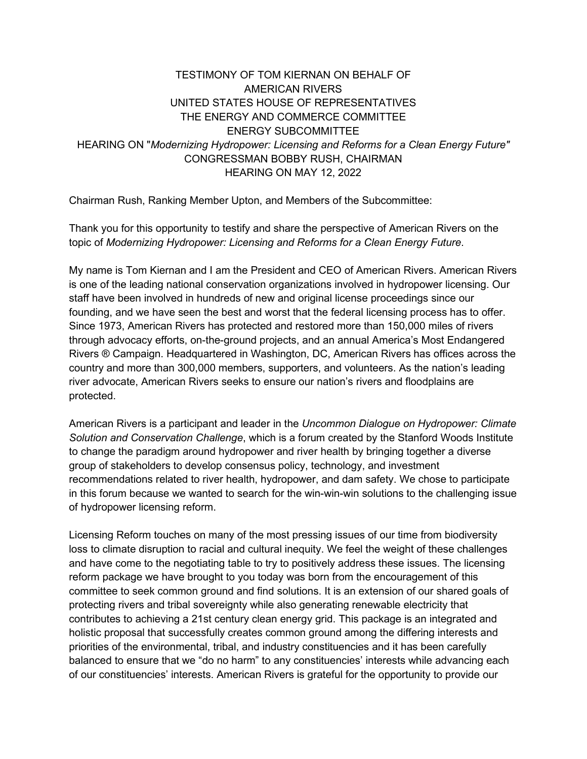## TESTIMONY OF TOM KIERNAN ON BEHALF OF AMERICAN RIVERS UNITED STATES HOUSE OF REPRESENTATIVES THE ENERGY AND COMMERCE COMMITTEE ENERGY SUBCOMMITTEE HEARING ON "*Modernizing Hydropower: Licensing and Reforms for a Clean Energy Future"* CONGRESSMAN BOBBY RUSH, CHAIRMAN HEARING ON MAY 12, 2022

Chairman Rush, Ranking Member Upton, and Members of the Subcommittee:

Thank you for this opportunity to testify and share the perspective of American Rivers on the topic of *Modernizing Hydropower: Licensing and Reforms for a Clean Energy Future*.

My name is Tom Kiernan and I am the President and CEO of American Rivers. American Rivers is one of the leading national conservation organizations involved in hydropower licensing. Our staff have been involved in hundreds of new and original license proceedings since our founding, and we have seen the best and worst that the federal licensing process has to offer. Since 1973, American Rivers has protected and restored more than 150,000 miles of rivers through advocacy efforts, on-the-ground projects, and an annual America's Most Endangered Rivers ® Campaign. Headquartered in Washington, DC, American Rivers has offices across the country and more than 300,000 members, supporters, and volunteers. As the nation's leading river advocate, American Rivers seeks to ensure our nation's rivers and floodplains are protected.

American Rivers is a participant and leader in the *Uncommon Dialogue on Hydropower: Climate Solution and Conservation Challenge*, which is a forum created by the Stanford Woods Institute to change the paradigm around hydropower and river health by bringing together a diverse group of stakeholders to develop consensus policy, technology, and investment recommendations related to river health, hydropower, and dam safety. We chose to participate in this forum because we wanted to search for the win-win-win solutions to the challenging issue of hydropower licensing reform.

Licensing Reform touches on many of the most pressing issues of our time from biodiversity loss to climate disruption to racial and cultural inequity. We feel the weight of these challenges and have come to the negotiating table to try to positively address these issues. The licensing reform package we have brought to you today was born from the encouragement of this committee to seek common ground and find solutions. It is an extension of our shared goals of protecting rivers and tribal sovereignty while also generating renewable electricity that contributes to achieving a 21st century clean energy grid. This package is an integrated and holistic proposal that successfully creates common ground among the differing interests and priorities of the environmental, tribal, and industry constituencies and it has been carefully balanced to ensure that we "do no harm" to any constituencies' interests while advancing each of our constituencies' interests. American Rivers is grateful for the opportunity to provide our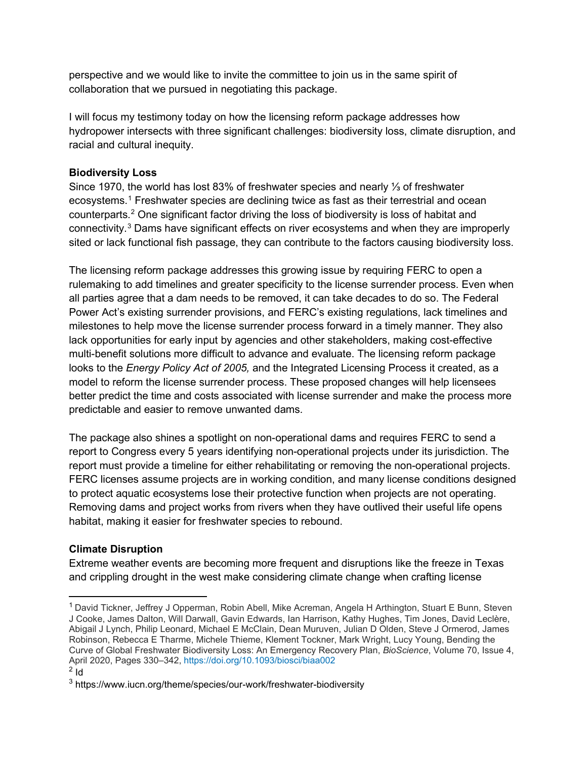perspective and we would like to invite the committee to join us in the same spirit of collaboration that we pursued in negotiating this package.

I will focus my testimony today on how the licensing reform package addresses how hydropower intersects with three significant challenges: biodiversity loss, climate disruption, and racial and cultural inequity.

## **Biodiversity Loss**

Since 1970, the world has lost 83% of freshwater species and nearly ⅓ of freshwater ecosystems.<sup>[1](#page-1-0)</sup> Freshwater species are declining twice as fast as their terrestrial and ocean counterparts.[2](#page-1-1) One significant factor driving the loss of biodiversity is loss of habitat and connectivity.[3](#page-1-2) Dams have significant effects on river ecosystems and when they are improperly sited or lack functional fish passage, they can contribute to the factors causing biodiversity loss.

The licensing reform package addresses this growing issue by requiring FERC to open a rulemaking to add timelines and greater specificity to the license surrender process. Even when all parties agree that a dam needs to be removed, it can take decades to do so. The Federal Power Act's existing surrender provisions, and FERC's existing regulations, lack timelines and milestones to help move the license surrender process forward in a timely manner. They also lack opportunities for early input by agencies and other stakeholders, making cost-effective multi-benefit solutions more difficult to advance and evaluate. The licensing reform package looks to the *Energy Policy Act of 2005,* and the Integrated Licensing Process it created, as a model to reform the license surrender process. These proposed changes will help licensees better predict the time and costs associated with license surrender and make the process more predictable and easier to remove unwanted dams.

The package also shines a spotlight on non-operational dams and requires FERC to send a report to Congress every 5 years identifying non-operational projects under its jurisdiction. The report must provide a timeline for either rehabilitating or removing the non-operational projects. FERC licenses assume projects are in working condition, and many license conditions designed to protect aquatic ecosystems lose their protective function when projects are not operating. Removing dams and project works from rivers when they have outlived their useful life opens habitat, making it easier for freshwater species to rebound.

## **Climate Disruption**

Extreme weather events are becoming more frequent and disruptions like the freeze in Texas and crippling drought in the west make considering climate change when crafting license

<span id="page-1-0"></span><sup>&</sup>lt;sup>1</sup> David Tickner, Jeffrey J Opperman, Robin Abell, Mike Acreman, Angela H Arthington, Stuart E Bunn, Steven J Cooke, James Dalton, Will Darwall, Gavin Edwards, Ian Harrison, Kathy Hughes, Tim Jones, David Leclère, Abigail J Lynch, Philip Leonard, Michael E McClain, Dean Muruven, Julian D Olden, Steve J Ormerod, James Robinson, Rebecca E Tharme, Michele Thieme, Klement Tockner, Mark Wright, Lucy Young, Bending the Curve of Global Freshwater Biodiversity Loss: An Emergency Recovery Plan, *BioScience*, Volume 70, Issue 4, April 2020, Pages 330–342,<https://doi.org/10.1093/biosci/biaa002>

<span id="page-1-1"></span> $2$  Id

<span id="page-1-2"></span><sup>&</sup>lt;sup>3</sup> https://www.iucn.org/theme/species/our-work/freshwater-biodiversity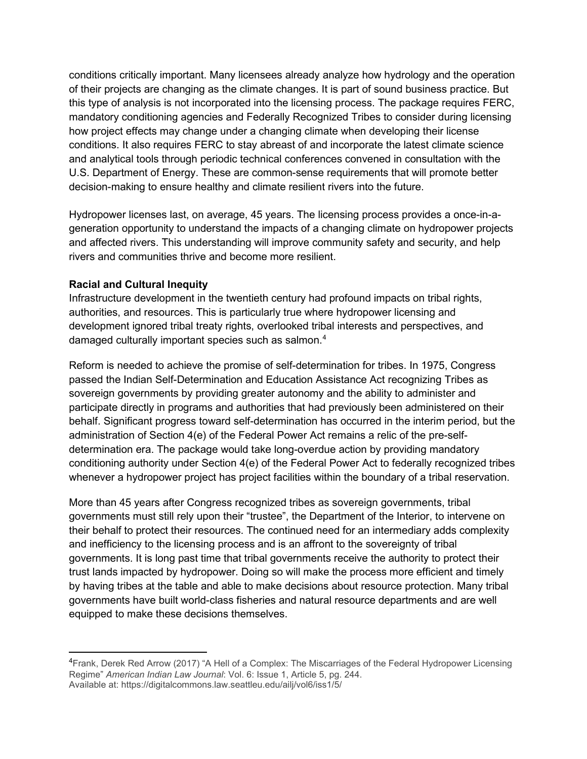conditions critically important. Many licensees already analyze how hydrology and the operation of their projects are changing as the climate changes. It is part of sound business practice. But this type of analysis is not incorporated into the licensing process. The package requires FERC, mandatory conditioning agencies and Federally Recognized Tribes to consider during licensing how project effects may change under a changing climate when developing their license conditions. It also requires FERC to stay abreast of and incorporate the latest climate science and analytical tools through periodic technical conferences convened in consultation with the U.S. Department of Energy. These are common-sense requirements that will promote better decision-making to ensure healthy and climate resilient rivers into the future.

Hydropower licenses last, on average, 45 years. The licensing process provides a once-in-ageneration opportunity to understand the impacts of a changing climate on hydropower projects and affected rivers. This understanding will improve community safety and security, and help rivers and communities thrive and become more resilient.

### **Racial and Cultural Inequity**

Infrastructure development in the twentieth century had profound impacts on tribal rights, authorities, and resources. This is particularly true where hydropower licensing and development ignored tribal treaty rights, overlooked tribal interests and perspectives, and damaged culturally important species such as salmon.<sup>[4](#page-2-0)</sup>

Reform is needed to achieve the promise of self-determination for tribes. In 1975, Congress passed the Indian Self-Determination and Education Assistance Act recognizing Tribes as sovereign governments by providing greater autonomy and the ability to administer and participate directly in programs and authorities that had previously been administered on their behalf. Significant progress toward self-determination has occurred in the interim period, but the administration of Section 4(e) of the Federal Power Act remains a relic of the pre-selfdetermination era. The package would take long-overdue action by providing mandatory conditioning authority under Section 4(e) of the Federal Power Act to federally recognized tribes whenever a hydropower project has project facilities within the boundary of a tribal reservation.

More than 45 years after Congress recognized tribes as sovereign governments, tribal governments must still rely upon their "trustee", the Department of the Interior, to intervene on their behalf to protect their resources. The continued need for an intermediary adds complexity and inefficiency to the licensing process and is an affront to the sovereignty of tribal governments. It is long past time that tribal governments receive the authority to protect their trust lands impacted by hydropower. Doing so will make the process more efficient and timely by having tribes at the table and able to make decisions about resource protection. Many tribal governments have built world-class fisheries and natural resource departments and are well equipped to make these decisions themselves.

<span id="page-2-0"></span><sup>&</sup>lt;sup>4</sup>Frank, Derek Red Arrow (2017) "A Hell of a Complex: The Miscarriages of the Federal Hydropower Licensing Regime" *American Indian Law Journal*: Vol. 6: Issue 1, Article 5, pg. 244. Available at: https://digitalcommons.law.seattleu.edu/ailj/vol6/iss1/5/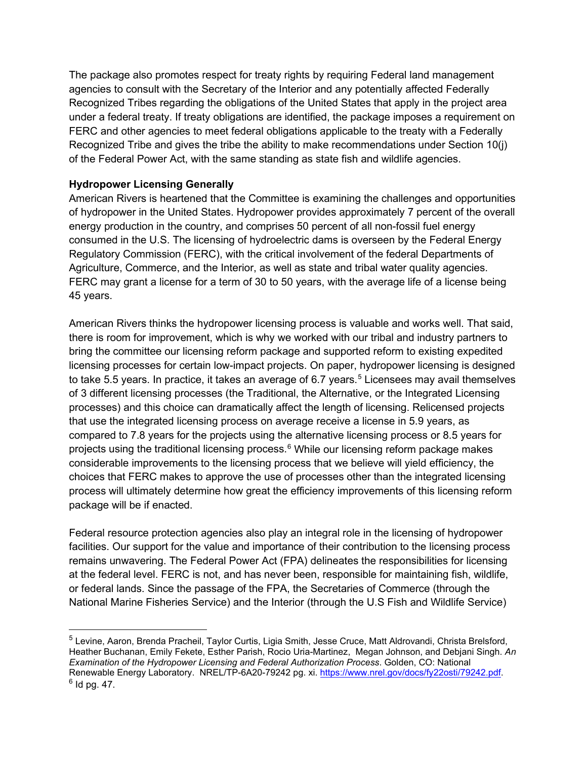The package also promotes respect for treaty rights by requiring Federal land management agencies to consult with the Secretary of the Interior and any potentially affected Federally Recognized Tribes regarding the obligations of the United States that apply in the project area under a federal treaty. If treaty obligations are identified, the package imposes a requirement on FERC and other agencies to meet federal obligations applicable to the treaty with a Federally Recognized Tribe and gives the tribe the ability to make recommendations under Section 10(j) of the Federal Power Act, with the same standing as state fish and wildlife agencies.

## **Hydropower Licensing Generally**

American Rivers is heartened that the Committee is examining the challenges and opportunities of hydropower in the United States. Hydropower provides approximately 7 percent of the overall energy production in the country, and comprises 50 percent of all non-fossil fuel energy consumed in the U.S. The licensing of hydroelectric dams is overseen by the Federal Energy Regulatory Commission (FERC), with the critical involvement of the federal Departments of Agriculture, Commerce, and the Interior, as well as state and tribal water quality agencies. FERC may grant a license for a term of 30 to 50 years, with the average life of a license being 45 years.

American Rivers thinks the hydropower licensing process is valuable and works well. That said, there is room for improvement, which is why we worked with our tribal and industry partners to bring the committee our licensing reform package and supported reform to existing expedited licensing processes for certain low-impact projects. On paper, hydropower licensing is designed to take [5](#page-3-0).5 years. In practice, it takes an average of 6.7 years.<sup>5</sup> Licensees may avail themselves of 3 different licensing processes (the Traditional, the Alternative, or the Integrated Licensing processes) and this choice can dramatically affect the length of licensing. Relicensed projects that use the integrated licensing process on average receive a license in 5.9 years, as compared to 7.8 years for the projects using the alternative licensing process or 8.5 years for projects using the traditional licensing process. $6$  While our licensing reform package makes considerable improvements to the licensing process that we believe will yield efficiency, the choices that FERC makes to approve the use of processes other than the integrated licensing process will ultimately determine how great the efficiency improvements of this licensing reform package will be if enacted.

Federal resource protection agencies also play an integral role in the licensing of hydropower facilities. Our support for the value and importance of their contribution to the licensing process remains unwavering. The Federal Power Act (FPA) delineates the responsibilities for licensing at the federal level. FERC is not, and has never been, responsible for maintaining fish, wildlife, or federal lands. Since the passage of the FPA, the Secretaries of Commerce (through the National Marine Fisheries Service) and the Interior (through the U.S Fish and Wildlife Service)

<span id="page-3-1"></span><span id="page-3-0"></span><sup>5</sup> Levine, Aaron, Brenda Pracheil, Taylor Curtis, Ligia Smith, Jesse Cruce, Matt Aldrovandi, Christa Brelsford, Heather Buchanan, Emily Fekete, Esther Parish, Rocio Uria-Martinez, Megan Johnson, and Debjani Singh. *An Examination of the Hydropower Licensing and Federal Authorization Process*. Golden, CO: National Renewable Energy Laboratory. NREL/TP-6A20-79242 pg. xi. https://www.nrel.gov/docs/fy22osti/79242.pdf. 6 Id pg. 47.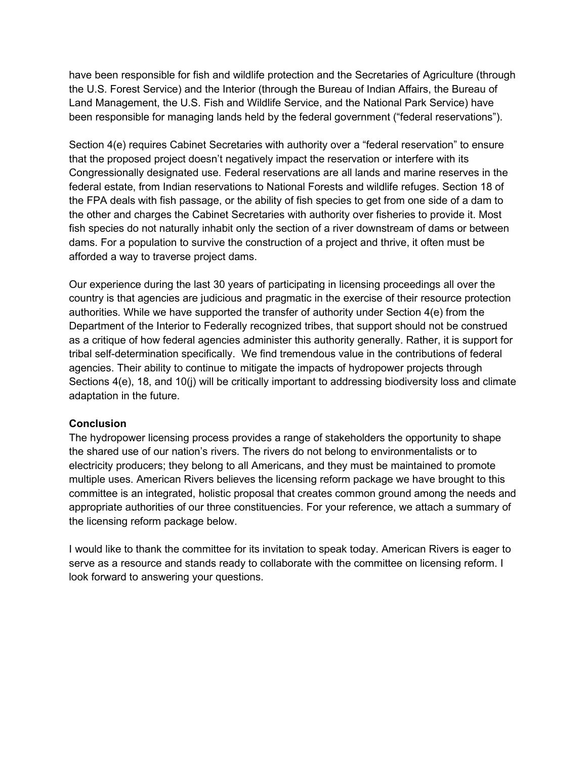have been responsible for fish and wildlife protection and the Secretaries of Agriculture (through the U.S. Forest Service) and the Interior (through the Bureau of Indian Affairs, the Bureau of Land Management, the U.S. Fish and Wildlife Service, and the National Park Service) have been responsible for managing lands held by the federal government ("federal reservations").

Section 4(e) requires Cabinet Secretaries with authority over a "federal reservation" to ensure that the proposed project doesn't negatively impact the reservation or interfere with its Congressionally designated use. Federal reservations are all lands and marine reserves in the federal estate, from Indian reservations to National Forests and wildlife refuges. Section 18 of the FPA deals with fish passage, or the ability of fish species to get from one side of a dam to the other and charges the Cabinet Secretaries with authority over fisheries to provide it. Most fish species do not naturally inhabit only the section of a river downstream of dams or between dams. For a population to survive the construction of a project and thrive, it often must be afforded a way to traverse project dams.

Our experience during the last 30 years of participating in licensing proceedings all over the country is that agencies are judicious and pragmatic in the exercise of their resource protection authorities. While we have supported the transfer of authority under Section 4(e) from the Department of the Interior to Federally recognized tribes, that support should not be construed as a critique of how federal agencies administer this authority generally. Rather, it is support for tribal self-determination specifically. We find tremendous value in the contributions of federal agencies. Their ability to continue to mitigate the impacts of hydropower projects through Sections 4(e), 18, and 10(j) will be critically important to addressing biodiversity loss and climate adaptation in the future.

### **Conclusion**

The hydropower licensing process provides a range of stakeholders the opportunity to shape the shared use of our nation's rivers. The rivers do not belong to environmentalists or to electricity producers; they belong to all Americans, and they must be maintained to promote multiple uses. American Rivers believes the licensing reform package we have brought to this committee is an integrated, holistic proposal that creates common ground among the needs and appropriate authorities of our three constituencies. For your reference, we attach a summary of the licensing reform package below.

I would like to thank the committee for its invitation to speak today. American Rivers is eager to serve as a resource and stands ready to collaborate with the committee on licensing reform. I look forward to answering your questions.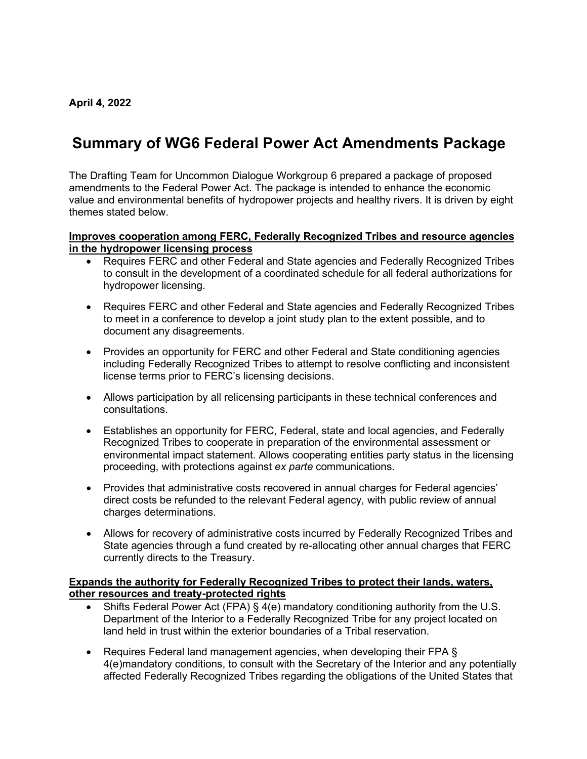# **Summary of WG6 Federal Power Act Amendments Package**

The Drafting Team for Uncommon Dialogue Workgroup 6 prepared a package of proposed amendments to the Federal Power Act. The package is intended to enhance the economic value and environmental benefits of hydropower projects and healthy rivers. It is driven by eight themes stated below.

### **Improves cooperation among FERC, Federally Recognized Tribes and resource agencies in the hydropower licensing process**

- Requires FERC and other Federal and State agencies and Federally Recognized Tribes to consult in the development of a coordinated schedule for all federal authorizations for hydropower licensing.
- Requires FERC and other Federal and State agencies and Federally Recognized Tribes to meet in a conference to develop a joint study plan to the extent possible, and to document any disagreements.
- Provides an opportunity for FERC and other Federal and State conditioning agencies including Federally Recognized Tribes to attempt to resolve conflicting and inconsistent license terms prior to FERC's licensing decisions.
- Allows participation by all relicensing participants in these technical conferences and consultations.
- Establishes an opportunity for FERC, Federal, state and local agencies, and Federally Recognized Tribes to cooperate in preparation of the environmental assessment or environmental impact statement. Allows cooperating entities party status in the licensing proceeding, with protections against *ex parte* communications.
- Provides that administrative costs recovered in annual charges for Federal agencies' direct costs be refunded to the relevant Federal agency, with public review of annual charges determinations.
- Allows for recovery of administrative costs incurred by Federally Recognized Tribes and State agencies through a fund created by re-allocating other annual charges that FERC currently directs to the Treasury.

### **Expands the authority for Federally Recognized Tribes to protect their lands, waters, other resources and treaty-protected rights**

- Shifts Federal Power Act (FPA) § 4(e) mandatory conditioning authority from the U.S. Department of the Interior to a Federally Recognized Tribe for any project located on land held in trust within the exterior boundaries of a Tribal reservation.
- Requires Federal land management agencies, when developing their FPA § 4(e)mandatory conditions, to consult with the Secretary of the Interior and any potentially affected Federally Recognized Tribes regarding the obligations of the United States that